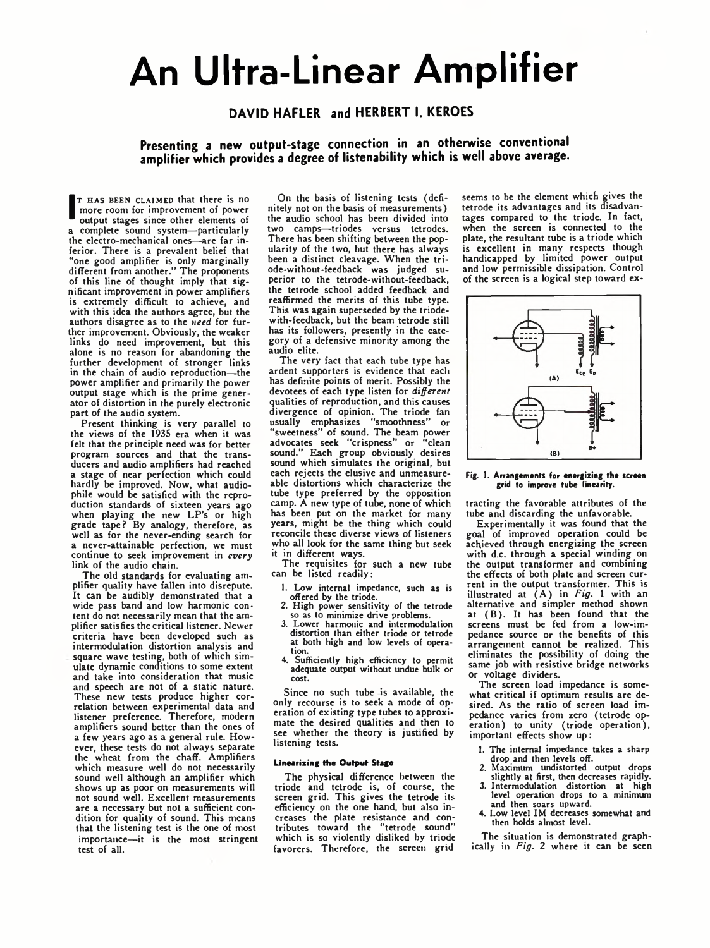# **An Ultra-Linear Amplifier**

## **DAVID HAFLER and HERBERT I. KEROES**

## **Presenting a new output-stage connection in an otherwise conventional amplifier which provides a degree of listenability which is well above average.**

T HAS BEEN CLAIMED that there is no<br>more room for improvement of power<br>output stages since other elements of<br>a complete sound system—particularly T HAS BEEN CLAIMED that there is no more room for improvement of power output stages since other elements of the electro-mechanical ones—are far inferior. There is a prevalent belief that "one good amplifier is only marginally different from another." The proponents of this line of thought imply that significant improvement in power amplifiers is extremely difficult to achieve, and with this idea the authors agree, but the authors disagree as to the *need* for further improvement. Obviously, the weaker links do need improvement, but this alone is no reason for abandoning the further development of stronger links in the chain of audio reproduction—the power amplifier and primarily the power output stage which is the prime generator of distortion in the purely electronic part of the audio system.

Present thinking is very parallel to the views of the 1935 era when it was felt that the principle need was for better program sources and that the transducers and audio amplifiers had reached a stage of near perfection which could hardly be improved. Now, what audiophile would be satisfied with the reproduction standards of sixteen years ago when playing the new L P's or high grade tape? By analogy, therefore, as well as for the never-ending search for a never-attainable perfection, we must continue to seek improvement in *every* link of the audio chain.

The old standards for evaluating amplifier quality have fallen into disrepute. It can be audibly demonstrated that a wide pass band and low harmonic content do not necessarily mean that the amplifier satisfies the critical listener. Newer criteria have been developed such as intermodulation distortion analysis and square wave testing, both of which simulate dynamic conditions to some extent and take into consideration that music and speech are not of a static nature. These new tests produce higher correlation between experimental data and listener preference. Therefore, modern amplifiers sound better than the ones of a few years ago as a general rule. However, these tests do not always separate the wheat from the chaff. Amplifiers which measure well do not necessarily sound well although an amplifier which shows up as poor on measurements will not sound well. Excellent measurements are a necessary but not a sufficient condition for quality of sound. This means that the listening test is the one of most importance—it is the most stringent test of all.

On the basis of listening tests (definitely not on the basis of measurements) the audio school has been divided into two camps—triodes versus tetrodes. There has been shifting between the popularity of the two, but there has always been a distinct cleavage. When the triode-without-feedback was judged superior to the tetrode-without-feedback, the tetrode school added feedback and reaffirmed the merits of this tube type. This was again superseded by the triodewith-feedback, but the beam tetrode still has its followers, presently in the category of a defensive minority among the audio elite.

The very fact that each tube type has ardent supporters is evidence that each has definite points of merit. Possibly the devotees of each type listen for *different* qualities of reproduction, and this causes divergence of opinion. The triode fan usually emphasizes "smoothness" or sually completed to the team power<br>"sweetness" of sound. The beam power<br>advocates seek "crispness" or "clean advocates seek "crispness" or sound." Each group obviously desires sound which simulates the original, but each rejects the elusive and unmeasureable distortions which characterize the tube type preferred by the opposition camp. A new type of tube, none of which has been put on the market for many years, might be the thing which could reconcile these diverse views of listeners who all look for the same thing but seek it in different ways.

The requisites for such a new tube can be listed readily:

- 1. Low internal impedance, such as is offered by the triode.
- 2. High power sensitivity of the tetrode so as to minimize drive problems. 3. Lower harmonic and intermodulation
- distortion than either triode or tetrode at both high and low levels of operation.
- 4. Sufficiently high efficiency to permit adequate output without undue bulk or cost.

Since no such tube is available, the only recourse is to seek a mode of operation of existing type tubes to approximate the desired qualities and then to see whether the theory is justified by listening tests.

## Linearizing the Output Stage

The physical difference between the triode and tetrode is, of course, the screen grid. This gives the tetrode its efficiency on the one hand, but also increases the plate resistance and con-tributes toward the "tetrode sound" which is so violently disliked by triode favorers. Therefore, the screen grid

seems to be the element which gives the tetrode its advantages and its disadvantages compared to the triode. In fact, when the screen is connected to the plate, the resultant tube is a triode which is excellent in many respects though handicapped by limited power output and low permissible dissipation. Control of the screen is a logical step toward ex-



# **Fig. 1. Arrangements for energizing the screen grid to improve tube linearity.**

trading the favorable attributes of the tube and discarding the unfavorable.

Experimentally it was found that the goal of improved operation could be achieved through energizing the screen with d.c. through a special winding on the output transformer and combining the effects of both plate and screen current in the output transformer. This is illustrated at (A) in *Fig*. 1 with an alternative and simpler method shown at (B ). It has been found that the screens must be fed from a low-impedance source or the benefits of this arrangement cannot be realized. This eliminates the possibility of doing the same job with resistive bridge networks or voltage dividers.

The screen load impedance is somewhat critical if optimum results are desired. As the ratio of screen load impedance varies from zero (tetrode op-eration) to unity (triode operation), important effects show up:

- 1. The internal impedance takes a sharp drop and then levels off.
- 2. Maximum undistorted output drops slightly at first, then decreases rapidly.
- 3. Intermodulation distortion at high level operation drops to a minimum and then soars upward. 4. Low level IM decreases somewhat and
- then holds almost level.

The situation is demonstrated graphically in *Fig.* 2 where it can be seen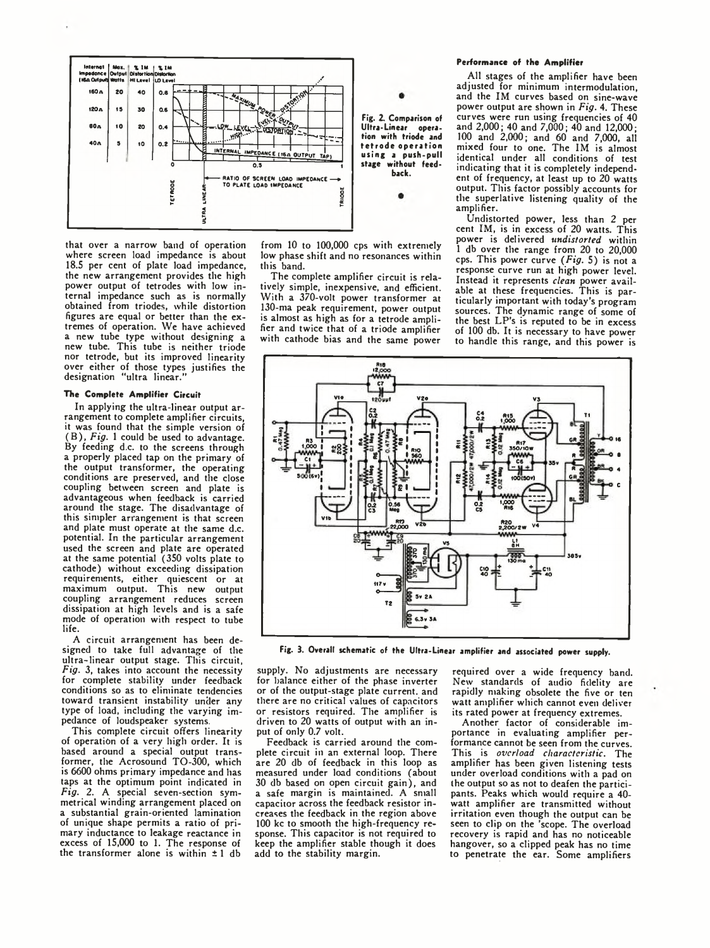

that over a narrow band of operation where screen load impedance is about 18.5 per cent of plate load impedance, the new arrangement provides the high power output of tetrodes with low internal impedance such as is normally obtained from triodes, while distortion figures are equal or better than the extremes of operation. We have achieved a new tube type without designing a new tube. This tube is neither triode nor tetrode, but its improved linearity over either of those types justifies the designation "ultra linear."

## The Complete Amplifier Circuit

In applying the ultra-linear output arrangement to complete amplifier circuits, it was found that the simple version of ( B ), *Fig.* 1 could be used to advantage. By feeding d.c. to the screens through a properly placed tap on the primary of the output transformer, the operating conditions are preserved, and the close coupling between screen and plate is advantageous when feedback is carried around the stage. The disadvantage of this simpler arrangement is that screen and plate must operate at the same d.c. potential. In the particular arrangement used the screen and plate are operated at the same potential (350 volts plate to cathode) without exceeding dissipation requirements, either quiescent or at maximum output. This new output coupling arrangement reduces screen dissipation at high levels and is a safe mode of operation with respect to tube life.

A circuit arrangement has been designed to take full advantage of the ultra-linear output stage. This circuit, *Fig.* 3, takes into account the necessity for complete stability under feedback conditions so as to eliminate tendencies toward transient instability under any type of load, including the varying impedance of loudspeaker systems.

This complete circuit offers linearity of operation of a very high order. It is based around a special output trans-former, the Acrosound TO-300, which is 6600 ohms primary impedance and has taps at the optimum point indicated in *Fig.* 2. A special seven-section symmetrical winding arrangement placed on a substantial grain-oriented lamination of unique shape permits a ratio of primary inductance to leakage reactance in excess of 15,000 to 1. The response of the transformer alone is within  $\pm 1$  db

from 10 to 100,000 cps with extremely low phase shift and no resonances within this band.

The complete amplifier circuit is relatively simple, inexpensive, and efficient. With a 370-volt power transformer at 130-ma peak requirement, power output is almost as high as for a tetrode amplifier and twice that of a triode amplifier with cathode bias and the same power

### Performance of the Amplifier

All stages of the amplifier have been adjusted for minimum intermodulation, and the IM curves based on sine-wave power output are shown in *Fig.* 4. These curves were run using frequencies of 40 and 2,000; 40 and 7,000; 40 and 12,000; 100 and 2,000; and 60 and 7,000, all mixed four to one. The IM is almost identical under all conditions of test indicating that it is completely independent of frequency, at least up to 20 watts output. This factor possibly accounts for the superlative listening quality of the amplifier.

Undistorted power, less than 2 per cent IM, is in excess of 20 watts. This power is delivered *undistorted* within 1 db over the range from 20 to 20,000 cps. This power curve *(Fig.* 5) is not a response curve run at high power level. Instead it represents *clean* power avail-able at these frequencies. This is particularly important with today's program sources. The dynamic range of some of<br>the best LP's is reputed to be in excess of 100 db. It is necessary to have power to handle this range, and this power is



**Fig. 3. Overall schematic of the Ultra-Linear amplifier and associated power supply.**

supply. No adjustments are necessary for balance either of the phase inverter or of the output-stage plate current, and there are no critical values of capacitors or resistors required. The amplifier is driven to 20 watts of output with an input of only 0.7 volt.

Feedback is carried around the complete circuit in an external loop. There are 20 db of feedback in this loop as measured under load conditions (about 30 db based on open circuit gain), and a safe margin is maintained. A small capacitor across the feedback resistor increases the feedback in the region above 100 kc to smooth the high-frequency response. This capacitor is not required to keep the amplifier stable though it does add to the stability margin.

required over a wide frequency band. New standards of audio fidelity are rapidly making obsolete the five or ten watt amplifier which cannot even deliver its rated power at frequency extremes.

Another factor of considerable importance in evaluating amplifier performance cannot be seen from the curves. This is *overload characteristic.* The amplifier has been given listening tests under overload conditions with a pad on the output so as not to deafen the participants. Peaks which would require a 40 watt amplifier are transmitted without irritation even though the output can be seen to clip on the 'scope. The overload recovery is rapid and has no noticeable hangover, so a clipped peak has no time to penetrate the ear. Some amplifiers